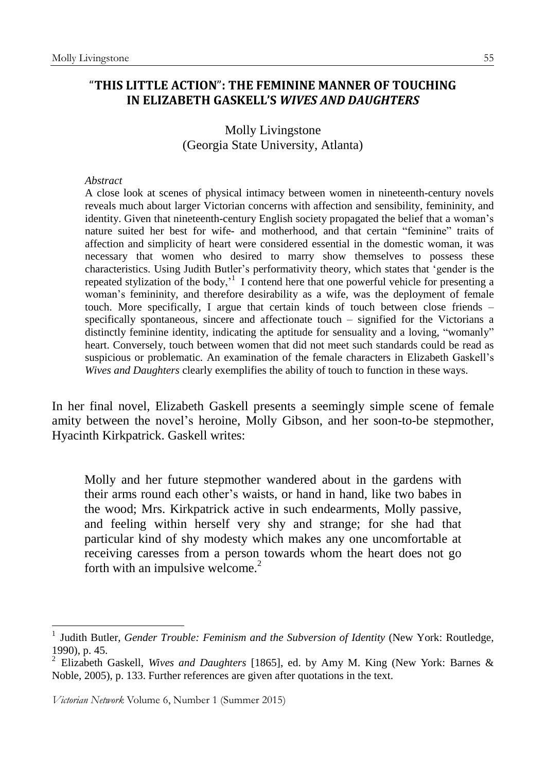## "**THIS LITTLE ACTION**"**: THE FEMININE MANNER OF TOUCHING IN ELIZABETH GASKELL'S** *WIVES AND DAUGHTERS*

Molly Livingstone (Georgia State University, Atlanta)

## *Abstract*

A close look at scenes of physical intimacy between women in nineteenth-century novels reveals much about larger Victorian concerns with affection and sensibility, femininity, and identity. Given that nineteenth-century English society propagated the belief that a woman's nature suited her best for wife- and motherhood, and that certain "feminine" traits of affection and simplicity of heart were considered essential in the domestic woman, it was necessary that women who desired to marry show themselves to possess these characteristics. Using Judith Butler's performativity theory, which states that 'gender is the repeated stylization of the body,<sup>1</sup> I contend here that one powerful vehicle for presenting a woman's femininity, and therefore desirability as a wife, was the deployment of female touch. More specifically, I argue that certain kinds of touch between close friends – specifically spontaneous, sincere and affectionate touch – signified for the Victorians a distinctly feminine identity, indicating the aptitude for sensuality and a loving, "womanly" heart. Conversely, touch between women that did not meet such standards could be read as suspicious or problematic. An examination of the female characters in Elizabeth Gaskell's *Wives and Daughters* clearly exemplifies the ability of touch to function in these ways.

In her final novel, Elizabeth Gaskell presents a seemingly simple scene of female amity between the novel's heroine, Molly Gibson, and her soon-to-be stepmother, Hyacinth Kirkpatrick. Gaskell writes:

Molly and her future stepmother wandered about in the gardens with their arms round each other's waists, or hand in hand, like two babes in the wood; Mrs. Kirkpatrick active in such endearments, Molly passive, and feeling within herself very shy and strange; for she had that particular kind of shy modesty which makes any one uncomfortable at receiving caresses from a person towards whom the heart does not go forth with an impulsive welcome.<sup>2</sup>

*Victorian Network* Volume 6, Number 1 (Summer 2015)

<sup>1</sup> Judith Butler, *Gender Trouble: Feminism and the Subversion of Identity* (New York: Routledge, 1990), p. 45.

<sup>2</sup> Elizabeth Gaskell, *Wives and Daughters* [1865], ed. by Amy M. King (New York: Barnes & Noble, 2005), p. 133. Further references are given after quotations in the text.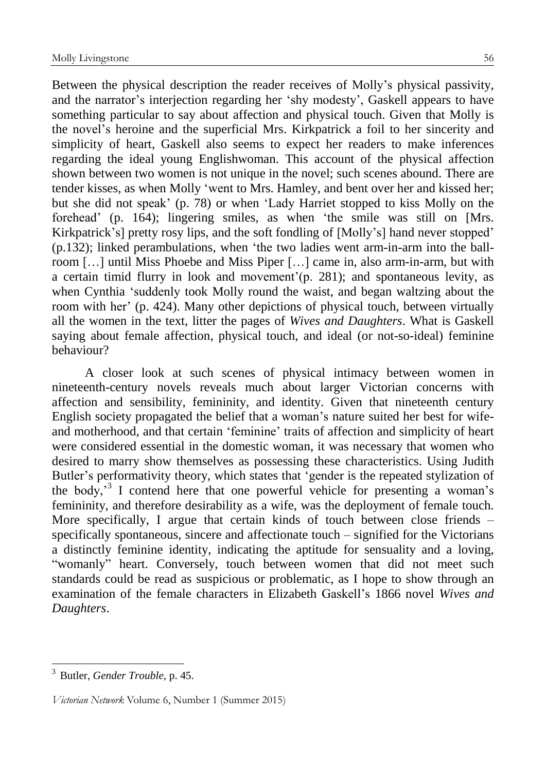Between the physical description the reader receives of Molly's physical passivity, and the narrator's interjection regarding her 'shy modesty', Gaskell appears to have something particular to say about affection and physical touch. Given that Molly is the novel's heroine and the superficial Mrs. Kirkpatrick a foil to her sincerity and simplicity of heart, Gaskell also seems to expect her readers to make inferences regarding the ideal young Englishwoman. This account of the physical affection shown between two women is not unique in the novel; such scenes abound. There are tender kisses, as when Molly 'went to Mrs. Hamley, and bent over her and kissed her; but she did not speak' (p. 78) or when 'Lady Harriet stopped to kiss Molly on the forehead' (p. 164); lingering smiles, as when 'the smile was still on [Mrs. Kirkpatrick's] pretty rosy lips, and the soft fondling of [Molly's] hand never stopped' (p.132); linked perambulations, when 'the two ladies went arm-in-arm into the ballroom […] until Miss Phoebe and Miss Piper […] came in, also arm-in-arm, but with a certain timid flurry in look and movement'(p. 281); and spontaneous levity, as when Cynthia 'suddenly took Molly round the waist, and began waltzing about the room with her' (p. 424). Many other depictions of physical touch, between virtually all the women in the text, litter the pages of *Wives and Daughters*. What is Gaskell saying about female affection, physical touch, and ideal (or not-so-ideal) feminine behaviour?

A closer look at such scenes of physical intimacy between women in nineteenth-century novels reveals much about larger Victorian concerns with affection and sensibility, femininity, and identity. Given that nineteenth century English society propagated the belief that a woman's nature suited her best for wifeand motherhood, and that certain 'feminine' traits of affection and simplicity of heart were considered essential in the domestic woman, it was necessary that women who desired to marry show themselves as possessing these characteristics. Using Judith Butler's performativity theory, which states that 'gender is the repeated stylization of the body,<sup>3</sup> I contend here that one powerful vehicle for presenting a woman's femininity, and therefore desirability as a wife, was the deployment of female touch. More specifically, I argue that certain kinds of touch between close friends – specifically spontaneous, sincere and affectionate touch – signified for the Victorians a distinctly feminine identity, indicating the aptitude for sensuality and a loving, "womanly" heart. Conversely, touch between women that did not meet such standards could be read as suspicious or problematic, as I hope to show through an examination of the female characters in Elizabeth Gaskell's 1866 novel *Wives and Daughters*.

<sup>3</sup> Butler, *Gender Trouble,* p. 45.

*Victorian Network* Volume 6, Number 1 (Summer 2015)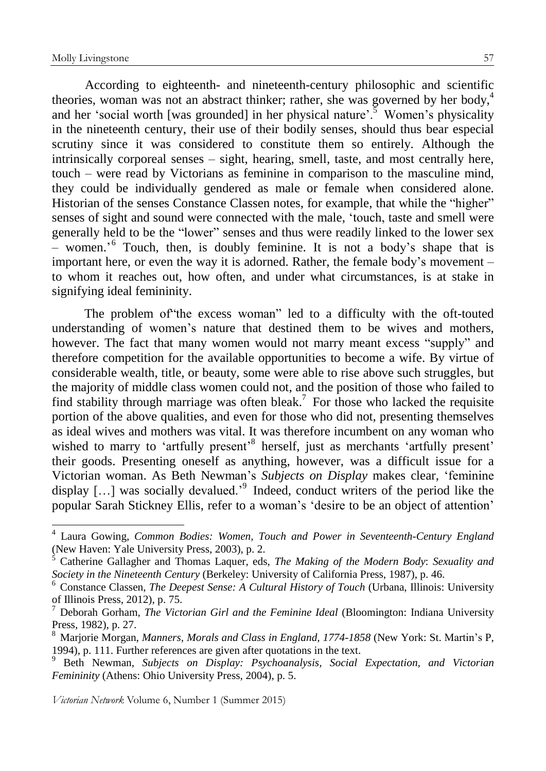1

According to eighteenth- and nineteenth-century philosophic and scientific theories, woman was not an abstract thinker; rather, she was governed by her body,<sup>4</sup> and her 'social worth [was grounded] in her physical nature'.<sup>5</sup> Women's physicality in the nineteenth century, their use of their bodily senses, should thus bear especial scrutiny since it was considered to constitute them so entirely. Although the intrinsically corporeal senses – sight, hearing, smell, taste, and most centrally here, touch – were read by Victorians as feminine in comparison to the masculine mind, they could be individually gendered as male or female when considered alone. Historian of the senses Constance Classen notes, for example, that while the "higher" senses of sight and sound were connected with the male, 'touch, taste and smell were generally held to be the "lower" senses and thus were readily linked to the lower sex - women.<sup>5</sup> Touch, then, is doubly feminine. It is not a body's shape that is important here, or even the way it is adorned. Rather, the female body's movement – to whom it reaches out, how often, and under what circumstances, is at stake in signifying ideal femininity.

The problem of"the excess woman" led to a difficulty with the oft-touted understanding of women's nature that destined them to be wives and mothers, however. The fact that many women would not marry meant excess "supply" and therefore competition for the available opportunities to become a wife. By virtue of considerable wealth, title, or beauty, some were able to rise above such struggles, but the majority of middle class women could not, and the position of those who failed to find stability through marriage was often bleak.<sup>7</sup> For those who lacked the requisite portion of the above qualities, and even for those who did not, presenting themselves as ideal wives and mothers was vital. It was therefore incumbent on any woman who wished to marry to 'artfully present'<sup>8</sup> herself, just as merchants 'artfully present' their goods. Presenting oneself as anything, however, was a difficult issue for a Victorian woman. As Beth Newman's *Subjects on Display* makes clear, 'feminine display [...] was socially devalued.<sup>'9</sup> Indeed, conduct writers of the period like the popular Sarah Stickney Ellis, refer to a woman's 'desire to be an object of attention'

<sup>4</sup> Laura Gowing, *Common Bodies: Women, Touch and Power in Seventeenth-Century England* (New Haven: Yale University Press, 2003), p. 2.

<sup>5</sup> Catherine Gallagher and Thomas Laquer, eds, *The Making of the Modern Body*: *Sexuality and Society in the Nineteenth Century* (Berkeley: University of California Press, 1987), p. 46.

<sup>6</sup> Constance Classen, *The Deepest Sense: A Cultural History of Touch* (Urbana, Illinois: University of Illinois Press, 2012), p. 75.

<sup>7</sup> Deborah Gorham, *The Victorian Girl and the Feminine Ideal* (Bloomington: Indiana University Press, 1982), p. 27.

<sup>8</sup> Marjorie Morgan, *Manners, Morals and Class in England, 1774-1858* (New York: St. Martin's P, 1994), p. 111. Further references are given after quotations in the text.

<sup>9</sup> Beth Newman, *Subjects on Display: Psychoanalysis, Social Expectation, and Victorian Femininity* (Athens: Ohio University Press, 2004), p. 5.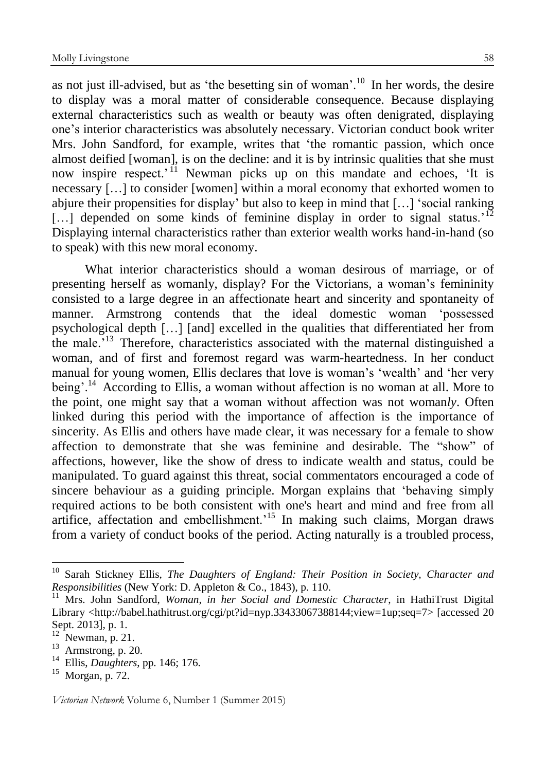as not just ill-advised, but as 'the besetting sin of woman'.<sup>10</sup> In her words, the desire to display was a moral matter of considerable consequence. Because displaying external characteristics such as wealth or beauty was often denigrated, displaying one's interior characteristics was absolutely necessary. Victorian conduct book writer Mrs. John Sandford, for example, writes that 'the romantic passion, which once almost deified [woman], is on the decline: and it is by intrinsic qualities that she must now inspire respect.<sup>' 11</sup> Newman picks up on this mandate and echoes, 'It is necessary […] to consider [women] within a moral economy that exhorted women to abjure their propensities for display' but also to keep in mind that […] 'social ranking [...] depended on some kinds of feminine display in order to signal status.<sup>'12</sup> Displaying internal characteristics rather than exterior wealth works hand-in-hand (so to speak) with this new moral economy.

What interior characteristics should a woman desirous of marriage, or of presenting herself as womanly, display? For the Victorians, a woman's femininity consisted to a large degree in an affectionate heart and sincerity and spontaneity of manner. Armstrong contends that the ideal domestic woman 'possessed psychological depth […] [and] excelled in the qualities that differentiated her from the male.'<sup>13</sup> Therefore, characteristics associated with the maternal distinguished a woman, and of first and foremost regard was warm-heartedness. In her conduct manual for young women, Ellis declares that love is woman's 'wealth' and 'her very being'.<sup>14</sup> According to Ellis, a woman without affection is no woman at all. More to the point, one might say that a woman without affection was not woman*ly*. Often linked during this period with the importance of affection is the importance of sincerity. As Ellis and others have made clear, it was necessary for a female to show affection to demonstrate that she was feminine and desirable. The "show" of affections, however, like the show of dress to indicate wealth and status, could be manipulated. To guard against this threat, social commentators encouraged a code of sincere behaviour as a guiding principle. Morgan explains that 'behaving simply required actions to be both consistent with one's heart and mind and free from all artifice, affectation and embellishment.'<sup>15</sup> In making such claims, Morgan draws from a variety of conduct books of the period. Acting naturally is a troubled process,

<u>.</u>

<sup>10</sup> Sarah Stickney Ellis, *The Daughters of England: Their Position in Society, Character and Responsibilities* (New York: D. Appleton & Co., 1843), p. 110.

<sup>11</sup> Mrs. John Sandford, *Woman, in her Social and Domestic Character*, in HathiTrust Digital Library <http://babel.hathitrust.org/cgi/pt?id=nyp.33433067388144;view=1up;seq=7> [accessed 20 Sept. 2013], p. 1.

 $12$  Newman, p. 21.

 $13$  Armstrong, p. 20.

<sup>14</sup> Ellis, *Daughters*, pp. 146; 176.

 $15$  Morgan, p. 72.

*Victorian Network* Volume 6, Number 1 (Summer 2015)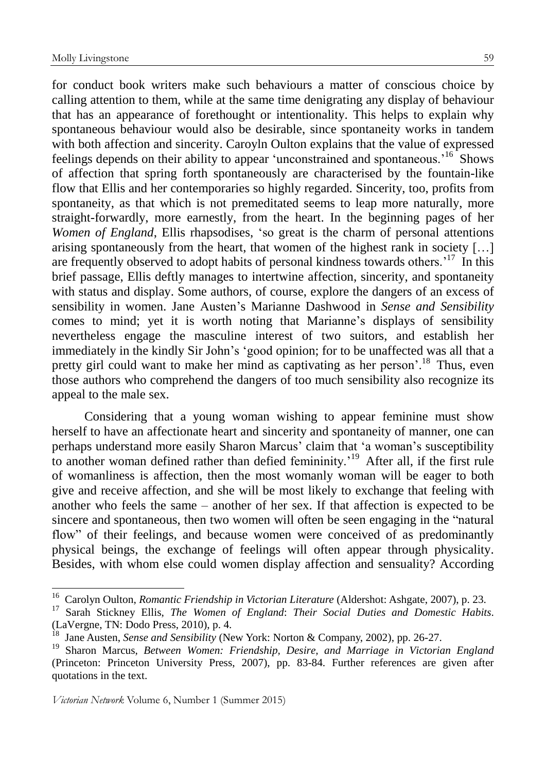for conduct book writers make such behaviours a matter of conscious choice by calling attention to them, while at the same time denigrating any display of behaviour that has an appearance of forethought or intentionality. This helps to explain why spontaneous behaviour would also be desirable, since spontaneity works in tandem with both affection and sincerity. Caroyln Oulton explains that the value of expressed feelings depends on their ability to appear 'unconstrained and spontaneous.'<sup>16</sup> Shows of affection that spring forth spontaneously are characterised by the fountain-like flow that Ellis and her contemporaries so highly regarded. Sincerity, too, profits from spontaneity, as that which is not premeditated seems to leap more naturally, more straight-forwardly, more earnestly, from the heart. In the beginning pages of her *Women of England*, Ellis rhapsodises, 'so great is the charm of personal attentions arising spontaneously from the heart, that women of the highest rank in society […] are frequently observed to adopt habits of personal kindness towards others.'<sup>17</sup> In this brief passage, Ellis deftly manages to intertwine affection, sincerity, and spontaneity with status and display. Some authors, of course, explore the dangers of an excess of sensibility in women. Jane Austen's Marianne Dashwood in *Sense and Sensibility* comes to mind; yet it is worth noting that Marianne's displays of sensibility nevertheless engage the masculine interest of two suitors, and establish her immediately in the kindly Sir John's 'good opinion; for to be unaffected was all that a pretty girl could want to make her mind as captivating as her person'.<sup>18</sup> Thus, even those authors who comprehend the dangers of too much sensibility also recognize its appeal to the male sex.

Considering that a young woman wishing to appear feminine must show herself to have an affectionate heart and sincerity and spontaneity of manner, one can perhaps understand more easily Sharon Marcus' claim that 'a woman's susceptibility to another woman defined rather than defied femininity.<sup>19</sup> After all, if the first rule of womanliness is affection, then the most womanly woman will be eager to both give and receive affection, and she will be most likely to exchange that feeling with another who feels the same – another of her sex. If that affection is expected to be sincere and spontaneous, then two women will often be seen engaging in the "natural flow" of their feelings, and because women were conceived of as predominantly physical beings, the exchange of feelings will often appear through physicality. Besides, with whom else could women display affection and sensuality? According

<sup>16</sup> Carolyn Oulton, *Romantic Friendship in Victorian Literature* (Aldershot: Ashgate, 2007), p. 23.

<sup>17</sup> Sarah Stickney Ellis, *The Women of England*: *Their Social Duties and Domestic Habits*. (LaVergne, TN: Dodo Press, 2010), p. 4.

<sup>18</sup> Jane Austen, *Sense and Sensibility* (New York: Norton & Company, 2002), pp. 26-27.

<sup>19</sup> Sharon Marcus, *Between Women: Friendship, Desire, and Marriage in Victorian England* (Princeton: Princeton University Press, 2007), pp. 83-84. Further references are given after quotations in the text.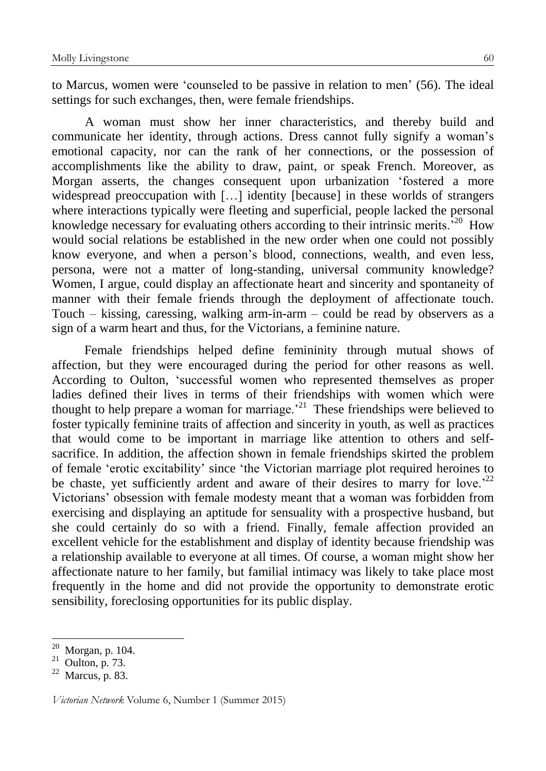to Marcus, women were 'counseled to be passive in relation to men' (56). The ideal settings for such exchanges, then, were female friendships.

A woman must show her inner characteristics, and thereby build and communicate her identity, through actions. Dress cannot fully signify a woman's emotional capacity, nor can the rank of her connections, or the possession of accomplishments like the ability to draw, paint, or speak French. Moreover, as Morgan asserts, the changes consequent upon urbanization 'fostered a more widespread preoccupation with [...] identity [because] in these worlds of strangers where interactions typically were fleeting and superficial, people lacked the personal knowledge necessary for evaluating others according to their intrinsic merits.'<sup>20</sup> How would social relations be established in the new order when one could not possibly know everyone, and when a person's blood, connections, wealth, and even less, persona, were not a matter of long-standing, universal community knowledge? Women, I argue, could display an affectionate heart and sincerity and spontaneity of manner with their female friends through the deployment of affectionate touch. Touch – kissing, caressing, walking arm-in-arm – could be read by observers as a sign of a warm heart and thus, for the Victorians, a feminine nature.

Female friendships helped define femininity through mutual shows of affection, but they were encouraged during the period for other reasons as well. According to Oulton, 'successful women who represented themselves as proper ladies defined their lives in terms of their friendships with women which were thought to help prepare a woman for marriage.<sup> $21$ </sup> These friendships were believed to foster typically feminine traits of affection and sincerity in youth, as well as practices that would come to be important in marriage like attention to others and selfsacrifice. In addition, the affection shown in female friendships skirted the problem of female 'erotic excitability' since 'the Victorian marriage plot required heroines to be chaste, yet sufficiently ardent and aware of their desires to marry for love.<sup>22</sup> Victorians' obsession with female modesty meant that a woman was forbidden from exercising and displaying an aptitude for sensuality with a prospective husband, but she could certainly do so with a friend. Finally, female affection provided an excellent vehicle for the establishment and display of identity because friendship was a relationship available to everyone at all times. Of course, a woman might show her affectionate nature to her family, but familial intimacy was likely to take place most frequently in the home and did not provide the opportunity to demonstrate erotic sensibility, foreclosing opportunities for its public display.

<u>.</u>

 $20$  Morgan, p. 104.

 $^{21}$  Oulton, p. 73.

 $22$  Marcus, p. 83.

*Victorian Network* Volume 6, Number 1 (Summer 2015)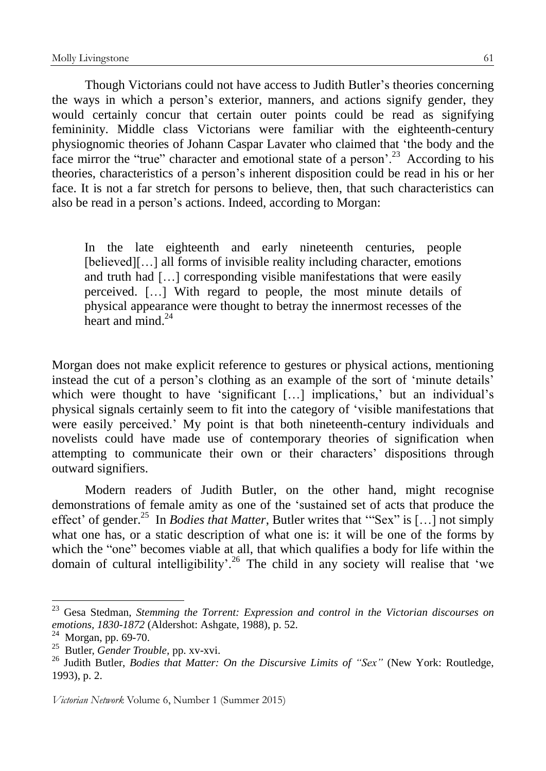Though Victorians could not have access to Judith Butler's theories concerning the ways in which a person's exterior, manners, and actions signify gender, they would certainly concur that certain outer points could be read as signifying femininity. Middle class Victorians were familiar with the eighteenth-century physiognomic theories of Johann Caspar Lavater who claimed that 'the body and the face mirror the "true" character and emotional state of a person<sup>'. 23</sup> According to his theories, characteristics of a person's inherent disposition could be read in his or her face. It is not a far stretch for persons to believe, then, that such characteristics can also be read in a person's actions. Indeed, according to Morgan:

In the late eighteenth and early nineteenth centuries, people [believed][...] all forms of invisible reality including character, emotions and truth had […] corresponding visible manifestations that were easily perceived. […] With regard to people, the most minute details of physical appearance were thought to betray the innermost recesses of the heart and mind  $^{24}$ 

Morgan does not make explicit reference to gestures or physical actions, mentioning instead the cut of a person's clothing as an example of the sort of 'minute details' which were thought to have 'significant [...] implications,' but an individual's physical signals certainly seem to fit into the category of 'visible manifestations that were easily perceived.' My point is that both nineteenth-century individuals and novelists could have made use of contemporary theories of signification when attempting to communicate their own or their characters' dispositions through outward signifiers.

Modern readers of Judith Butler, on the other hand, might recognise demonstrations of female amity as one of the 'sustained set of acts that produce the effect' of gender.<sup>25</sup> In *Bodies that Matter*, Butler writes that "Sex" is [...] not simply what one has, or a static description of what one is: it will be one of the forms by which the "one" becomes viable at all, that which qualifies a body for life within the domain of cultural intelligibility'.<sup>26</sup> The child in any society will realise that 'we

<sup>23</sup> Gesa Stedman, *Stemming the Torrent: Expression and control in the Victorian discourses on emotions, 1830-1872* (Aldershot: Ashgate, 1988), p. 52.

 $^{24}$  Morgan, pp. 69-70.

<sup>25</sup> Butler, *Gender Trouble,* pp. xv-xvi.

<sup>26</sup> Judith Butler, *Bodies that Matter: On the Discursive Limits of "Sex"* (New York: Routledge, 1993), p. 2.

*Victorian Network* Volume 6, Number 1 (Summer 2015)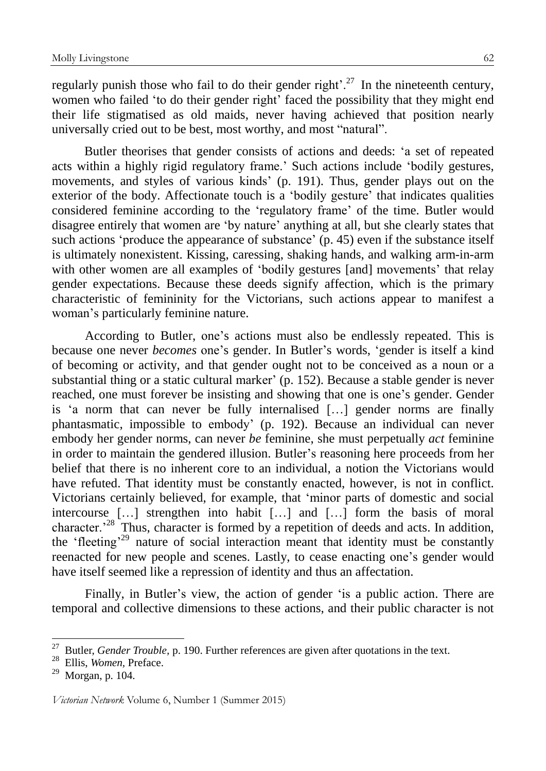regularly punish those who fail to do their gender right'.<sup>27</sup> In the nineteenth century, women who failed 'to do their gender right' faced the possibility that they might end their life stigmatised as old maids, never having achieved that position nearly universally cried out to be best, most worthy, and most "natural".

Butler theorises that gender consists of actions and deeds: 'a set of repeated acts within a highly rigid regulatory frame.' Such actions include 'bodily gestures, movements, and styles of various kinds' (p. 191). Thus, gender plays out on the exterior of the body. Affectionate touch is a 'bodily gesture' that indicates qualities considered feminine according to the 'regulatory frame' of the time. Butler would disagree entirely that women are 'by nature' anything at all, but she clearly states that such actions 'produce the appearance of substance' (p. 45) even if the substance itself is ultimately nonexistent. Kissing, caressing, shaking hands, and walking arm-in-arm with other women are all examples of 'bodily gestures [and] movements' that relay gender expectations. Because these deeds signify affection, which is the primary characteristic of femininity for the Victorians, such actions appear to manifest a woman's particularly feminine nature.

According to Butler, one's actions must also be endlessly repeated. This is because one never *becomes* one's gender. In Butler's words, 'gender is itself a kind of becoming or activity, and that gender ought not to be conceived as a noun or a substantial thing or a static cultural marker' (p. 152). Because a stable gender is never reached, one must forever be insisting and showing that one is one's gender. Gender is 'a norm that can never be fully internalised […] gender norms are finally phantasmatic, impossible to embody' (p. 192). Because an individual can never embody her gender norms, can never *be* feminine, she must perpetually *act* feminine in order to maintain the gendered illusion. Butler's reasoning here proceeds from her belief that there is no inherent core to an individual, a notion the Victorians would have refuted. That identity must be constantly enacted, however, is not in conflict. Victorians certainly believed, for example, that 'minor parts of domestic and social intercourse […] strengthen into habit […] and […] form the basis of moral character.'<sup>28</sup> Thus, character is formed by a repetition of deeds and acts. In addition, the 'fleeting'<sup>29</sup> nature of social interaction meant that identity must be constantly reenacted for new people and scenes. Lastly, to cease enacting one's gender would have itself seemed like a repression of identity and thus an affectation.

Finally, in Butler's view, the action of gender 'is a public action. There are temporal and collective dimensions to these actions, and their public character is not

<u>.</u>

<sup>&</sup>lt;sup>27</sup> Butler, *Gender Trouble*, p. 190. Further references are given after quotations in the text.

<sup>28</sup> Ellis, *Women,* Preface.

 $^{29}$  Morgan, p. 104.

*Victorian Network* Volume 6, Number 1 (Summer 2015)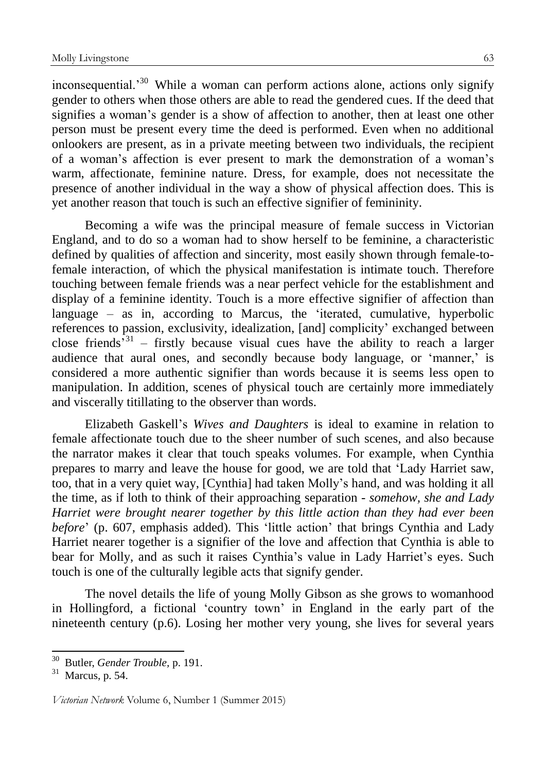inconsequential.<sup>30</sup> While a woman can perform actions alone, actions only signify gender to others when those others are able to read the gendered cues. If the deed that signifies a woman's gender is a show of affection to another, then at least one other person must be present every time the deed is performed. Even when no additional onlookers are present, as in a private meeting between two individuals, the recipient of a woman's affection is ever present to mark the demonstration of a woman's warm, affectionate, feminine nature. Dress, for example, does not necessitate the presence of another individual in the way a show of physical affection does. This is yet another reason that touch is such an effective signifier of femininity.

Becoming a wife was the principal measure of female success in Victorian England, and to do so a woman had to show herself to be feminine, a characteristic defined by qualities of affection and sincerity, most easily shown through female-tofemale interaction, of which the physical manifestation is intimate touch. Therefore touching between female friends was a near perfect vehicle for the establishment and display of a feminine identity. Touch is a more effective signifier of affection than language – as in, according to Marcus, the 'iterated, cumulative, hyperbolic references to passion, exclusivity, idealization, [and] complicity' exchanged between close friends<sup>531</sup> – firstly because visual cues have the ability to reach a larger audience that aural ones, and secondly because body language, or 'manner,' is considered a more authentic signifier than words because it is seems less open to manipulation. In addition, scenes of physical touch are certainly more immediately and viscerally titillating to the observer than words.

Elizabeth Gaskell's *Wives and Daughters* is ideal to examine in relation to female affectionate touch due to the sheer number of such scenes, and also because the narrator makes it clear that touch speaks volumes. For example, when Cynthia prepares to marry and leave the house for good, we are told that 'Lady Harriet saw, too, that in a very quiet way, [Cynthia] had taken Molly's hand, and was holding it all the time, as if loth to think of their approaching separation - *somehow, she and Lady Harriet were brought nearer together by this little action than they had ever been before*' (p. 607, emphasis added). This 'little action' that brings Cynthia and Lady Harriet nearer together is a signifier of the love and affection that Cynthia is able to bear for Molly, and as such it raises Cynthia's value in Lady Harriet's eyes. Such touch is one of the culturally legible acts that signify gender.

The novel details the life of young Molly Gibson as she grows to womanhood in Hollingford, a fictional 'country town' in England in the early part of the nineteenth century (p.6). Losing her mother very young, she lives for several years

<sup>30</sup> Butler, *Gender Trouble,* p. 191.

 $31$  Marcus, p. 54.

*Victorian Network* Volume 6, Number 1 (Summer 2015)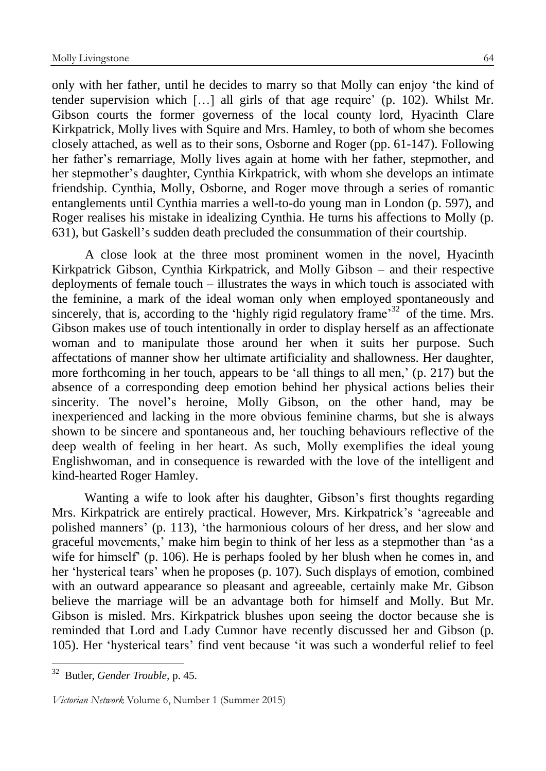only with her father, until he decides to marry so that Molly can enjoy 'the kind of tender supervision which […] all girls of that age require' (p. 102). Whilst Mr. Gibson courts the former governess of the local county lord, Hyacinth Clare Kirkpatrick, Molly lives with Squire and Mrs. Hamley, to both of whom she becomes closely attached, as well as to their sons, Osborne and Roger (pp. 61-147). Following her father's remarriage, Molly lives again at home with her father, stepmother, and her stepmother's daughter, Cynthia Kirkpatrick, with whom she develops an intimate friendship. Cynthia, Molly, Osborne, and Roger move through a series of romantic entanglements until Cynthia marries a well-to-do young man in London (p. 597), and Roger realises his mistake in idealizing Cynthia. He turns his affections to Molly (p. 631), but Gaskell's sudden death precluded the consummation of their courtship.

A close look at the three most prominent women in the novel, Hyacinth Kirkpatrick Gibson, Cynthia Kirkpatrick, and Molly Gibson – and their respective deployments of female touch – illustrates the ways in which touch is associated with the feminine, a mark of the ideal woman only when employed spontaneously and sincerely, that is, according to the 'highly rigid regulatory frame'<sup>32</sup> of the time. Mrs. Gibson makes use of touch intentionally in order to display herself as an affectionate woman and to manipulate those around her when it suits her purpose. Such affectations of manner show her ultimate artificiality and shallowness. Her daughter, more forthcoming in her touch, appears to be 'all things to all men,' (p. 217) but the absence of a corresponding deep emotion behind her physical actions belies their sincerity. The novel's heroine, Molly Gibson, on the other hand, may be inexperienced and lacking in the more obvious feminine charms, but she is always shown to be sincere and spontaneous and, her touching behaviours reflective of the deep wealth of feeling in her heart. As such, Molly exemplifies the ideal young Englishwoman, and in consequence is rewarded with the love of the intelligent and kind-hearted Roger Hamley.

Wanting a wife to look after his daughter, Gibson's first thoughts regarding Mrs. Kirkpatrick are entirely practical. However, Mrs. Kirkpatrick's 'agreeable and polished manners' (p. 113), 'the harmonious colours of her dress, and her slow and graceful movements,' make him begin to think of her less as a stepmother than 'as a wife for himself' (p. 106). He is perhaps fooled by her blush when he comes in, and her 'hysterical tears' when he proposes (p. 107). Such displays of emotion, combined with an outward appearance so pleasant and agreeable, certainly make Mr. Gibson believe the marriage will be an advantage both for himself and Molly. But Mr. Gibson is misled. Mrs. Kirkpatrick blushes upon seeing the doctor because she is reminded that Lord and Lady Cumnor have recently discussed her and Gibson (p. 105). Her 'hysterical tears' find vent because 'it was such a wonderful relief to feel

<sup>32</sup> Butler, *Gender Trouble,* p. 45.

*Victorian Network* Volume 6, Number 1 (Summer 2015)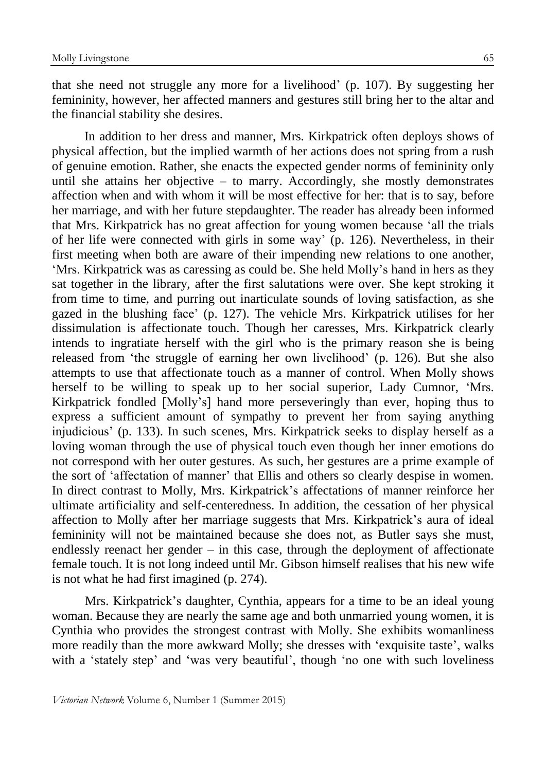that she need not struggle any more for a livelihood' (p. 107). By suggesting her femininity, however, her affected manners and gestures still bring her to the altar and the financial stability she desires.

In addition to her dress and manner, Mrs. Kirkpatrick often deploys shows of physical affection, but the implied warmth of her actions does not spring from a rush of genuine emotion. Rather, she enacts the expected gender norms of femininity only until she attains her objective – to marry. Accordingly, she mostly demonstrates affection when and with whom it will be most effective for her: that is to say, before her marriage, and with her future stepdaughter. The reader has already been informed that Mrs. Kirkpatrick has no great affection for young women because 'all the trials of her life were connected with girls in some way' (p. 126). Nevertheless, in their first meeting when both are aware of their impending new relations to one another, 'Mrs. Kirkpatrick was as caressing as could be. She held Molly's hand in hers as they sat together in the library, after the first salutations were over. She kept stroking it from time to time, and purring out inarticulate sounds of loving satisfaction, as she gazed in the blushing face' (p. 127). The vehicle Mrs. Kirkpatrick utilises for her dissimulation is affectionate touch. Though her caresses, Mrs. Kirkpatrick clearly intends to ingratiate herself with the girl who is the primary reason she is being released from 'the struggle of earning her own livelihood' (p. 126). But she also attempts to use that affectionate touch as a manner of control. When Molly shows herself to be willing to speak up to her social superior, Lady Cumnor, 'Mrs. Kirkpatrick fondled [Molly's] hand more perseveringly than ever, hoping thus to express a sufficient amount of sympathy to prevent her from saying anything injudicious' (p. 133). In such scenes, Mrs. Kirkpatrick seeks to display herself as a loving woman through the use of physical touch even though her inner emotions do not correspond with her outer gestures. As such, her gestures are a prime example of the sort of 'affectation of manner' that Ellis and others so clearly despise in women. In direct contrast to Molly, Mrs. Kirkpatrick's affectations of manner reinforce her ultimate artificiality and self-centeredness. In addition, the cessation of her physical affection to Molly after her marriage suggests that Mrs. Kirkpatrick's aura of ideal femininity will not be maintained because she does not, as Butler says she must, endlessly reenact her gender – in this case, through the deployment of affectionate female touch. It is not long indeed until Mr. Gibson himself realises that his new wife is not what he had first imagined (p. 274).

Mrs. Kirkpatrick's daughter, Cynthia, appears for a time to be an ideal young woman. Because they are nearly the same age and both unmarried young women, it is Cynthia who provides the strongest contrast with Molly. She exhibits womanliness more readily than the more awkward Molly; she dresses with 'exquisite taste', walks with a 'stately step' and 'was very beautiful', though 'no one with such loveliness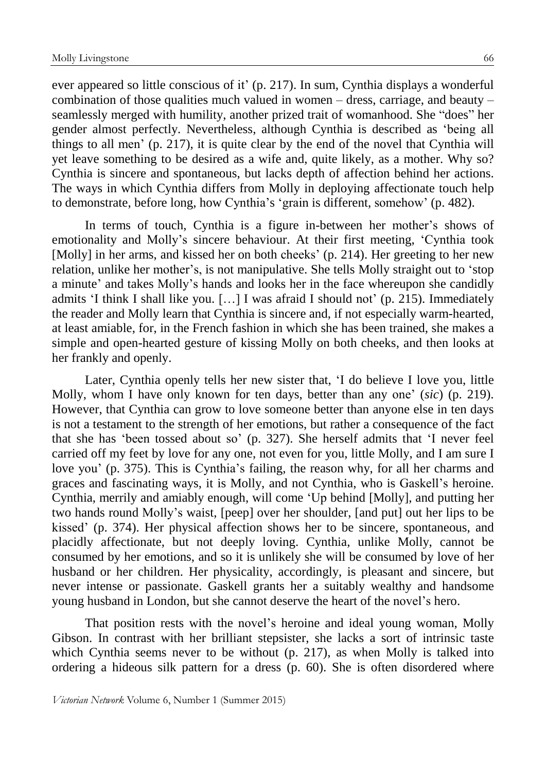ever appeared so little conscious of it' (p. 217). In sum, Cynthia displays a wonderful combination of those qualities much valued in women – dress, carriage, and beauty – seamlessly merged with humility, another prized trait of womanhood. She "does" her gender almost perfectly. Nevertheless, although Cynthia is described as 'being all things to all men' (p. 217), it is quite clear by the end of the novel that Cynthia will yet leave something to be desired as a wife and, quite likely, as a mother. Why so? Cynthia is sincere and spontaneous, but lacks depth of affection behind her actions. The ways in which Cynthia differs from Molly in deploying affectionate touch help to demonstrate, before long, how Cynthia's 'grain is different, somehow' (p. 482).

In terms of touch, Cynthia is a figure in-between her mother's shows of emotionality and Molly's sincere behaviour. At their first meeting, 'Cynthia took [Molly] in her arms, and kissed her on both cheeks' (p. 214). Her greeting to her new relation, unlike her mother's, is not manipulative. She tells Molly straight out to 'stop a minute' and takes Molly's hands and looks her in the face whereupon she candidly admits 'I think I shall like you. […] I was afraid I should not' (p. 215). Immediately the reader and Molly learn that Cynthia is sincere and, if not especially warm-hearted, at least amiable, for, in the French fashion in which she has been trained, she makes a simple and open-hearted gesture of kissing Molly on both cheeks, and then looks at her frankly and openly.

Later, Cynthia openly tells her new sister that, 'I do believe I love you, little Molly, whom I have only known for ten days, better than any one' (*sic*) (p. 219). However, that Cynthia can grow to love someone better than anyone else in ten days is not a testament to the strength of her emotions, but rather a consequence of the fact that she has 'been tossed about so' (p. 327). She herself admits that 'I never feel carried off my feet by love for any one, not even for you, little Molly, and I am sure I love you' (p. 375). This is Cynthia's failing, the reason why, for all her charms and graces and fascinating ways, it is Molly, and not Cynthia, who is Gaskell's heroine. Cynthia, merrily and amiably enough, will come 'Up behind [Molly], and putting her two hands round Molly's waist, [peep] over her shoulder, [and put] out her lips to be kissed' (p. 374). Her physical affection shows her to be sincere, spontaneous, and placidly affectionate, but not deeply loving. Cynthia, unlike Molly, cannot be consumed by her emotions, and so it is unlikely she will be consumed by love of her husband or her children. Her physicality, accordingly, is pleasant and sincere, but never intense or passionate. Gaskell grants her a suitably wealthy and handsome young husband in London, but she cannot deserve the heart of the novel's hero.

That position rests with the novel's heroine and ideal young woman, Molly Gibson. In contrast with her brilliant stepsister, she lacks a sort of intrinsic taste which Cynthia seems never to be without (p. 217), as when Molly is talked into ordering a hideous silk pattern for a dress (p. 60). She is often disordered where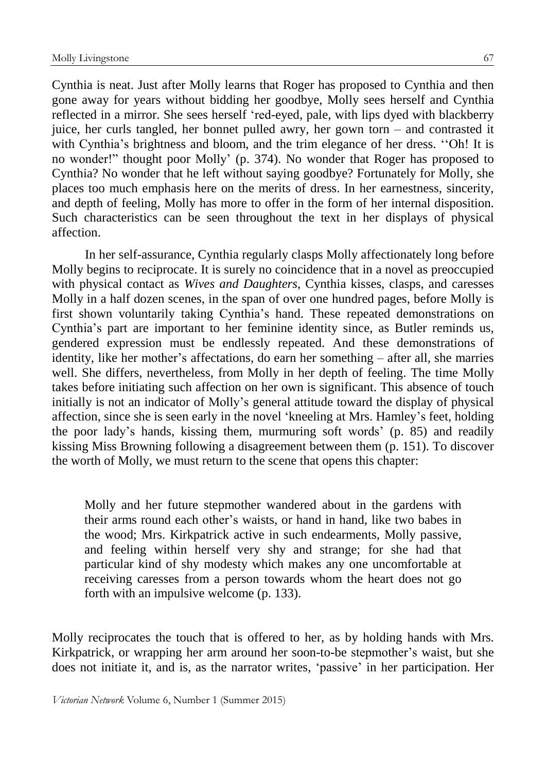Cynthia is neat. Just after Molly learns that Roger has proposed to Cynthia and then gone away for years without bidding her goodbye, Molly sees herself and Cynthia reflected in a mirror. She sees herself 'red-eyed, pale, with lips dyed with blackberry juice, her curls tangled, her bonnet pulled awry, her gown torn – and contrasted it with Cynthia's brightness and bloom, and the trim elegance of her dress. "Oh! It is no wonder!" thought poor Molly' (p. 374). No wonder that Roger has proposed to Cynthia? No wonder that he left without saying goodbye? Fortunately for Molly, she places too much emphasis here on the merits of dress. In her earnestness, sincerity, and depth of feeling, Molly has more to offer in the form of her internal disposition. Such characteristics can be seen throughout the text in her displays of physical affection.

In her self-assurance, Cynthia regularly clasps Molly affectionately long before Molly begins to reciprocate. It is surely no coincidence that in a novel as preoccupied with physical contact as *Wives and Daughters*, Cynthia kisses, clasps, and caresses Molly in a half dozen scenes, in the span of over one hundred pages, before Molly is first shown voluntarily taking Cynthia's hand. These repeated demonstrations on Cynthia's part are important to her feminine identity since, as Butler reminds us, gendered expression must be endlessly repeated. And these demonstrations of identity, like her mother's affectations, do earn her something – after all, she marries well. She differs, nevertheless, from Molly in her depth of feeling. The time Molly takes before initiating such affection on her own is significant. This absence of touch initially is not an indicator of Molly's general attitude toward the display of physical affection, since she is seen early in the novel 'kneeling at Mrs. Hamley's feet, holding the poor lady's hands, kissing them, murmuring soft words' (p. 85) and readily kissing Miss Browning following a disagreement between them (p. 151). To discover the worth of Molly, we must return to the scene that opens this chapter:

Molly and her future stepmother wandered about in the gardens with their arms round each other's waists, or hand in hand, like two babes in the wood; Mrs. Kirkpatrick active in such endearments, Molly passive, and feeling within herself very shy and strange; for she had that particular kind of shy modesty which makes any one uncomfortable at receiving caresses from a person towards whom the heart does not go forth with an impulsive welcome (p. 133).

Molly reciprocates the touch that is offered to her, as by holding hands with Mrs. Kirkpatrick, or wrapping her arm around her soon-to-be stepmother's waist, but she does not initiate it, and is, as the narrator writes, 'passive' in her participation. Her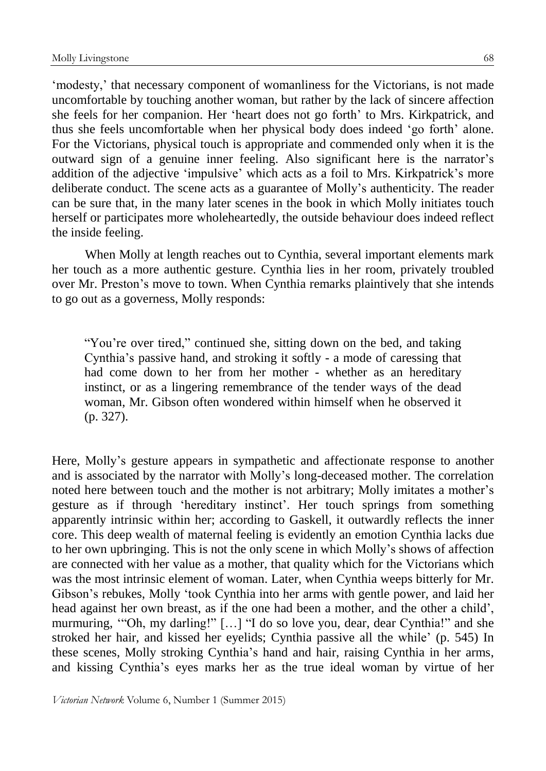'modesty,' that necessary component of womanliness for the Victorians, is not made uncomfortable by touching another woman, but rather by the lack of sincere affection she feels for her companion. Her 'heart does not go forth' to Mrs. Kirkpatrick, and thus she feels uncomfortable when her physical body does indeed 'go forth' alone. For the Victorians, physical touch is appropriate and commended only when it is the outward sign of a genuine inner feeling. Also significant here is the narrator's addition of the adjective 'impulsive' which acts as a foil to Mrs. Kirkpatrick's more deliberate conduct. The scene acts as a guarantee of Molly's authenticity. The reader can be sure that, in the many later scenes in the book in which Molly initiates touch herself or participates more wholeheartedly, the outside behaviour does indeed reflect the inside feeling.

When Molly at length reaches out to Cynthia, several important elements mark her touch as a more authentic gesture. Cynthia lies in her room, privately troubled over Mr. Preston's move to town. When Cynthia remarks plaintively that she intends to go out as a governess, Molly responds:

"You're over tired," continued she, sitting down on the bed, and taking Cynthia's passive hand, and stroking it softly - a mode of caressing that had come down to her from her mother - whether as an hereditary instinct, or as a lingering remembrance of the tender ways of the dead woman, Mr. Gibson often wondered within himself when he observed it (p. 327).

Here, Molly's gesture appears in sympathetic and affectionate response to another and is associated by the narrator with Molly's long-deceased mother. The correlation noted here between touch and the mother is not arbitrary; Molly imitates a mother's gesture as if through 'hereditary instinct'. Her touch springs from something apparently intrinsic within her; according to Gaskell, it outwardly reflects the inner core. This deep wealth of maternal feeling is evidently an emotion Cynthia lacks due to her own upbringing. This is not the only scene in which Molly's shows of affection are connected with her value as a mother, that quality which for the Victorians which was the most intrinsic element of woman. Later, when Cynthia weeps bitterly for Mr. Gibson's rebukes, Molly 'took Cynthia into her arms with gentle power, and laid her head against her own breast, as if the one had been a mother, and the other a child', murmuring, '"Oh, my darling!" […] "I do so love you, dear, dear Cynthia!" and she stroked her hair, and kissed her eyelids; Cynthia passive all the while' (p. 545) In these scenes, Molly stroking Cynthia's hand and hair, raising Cynthia in her arms, and kissing Cynthia's eyes marks her as the true ideal woman by virtue of her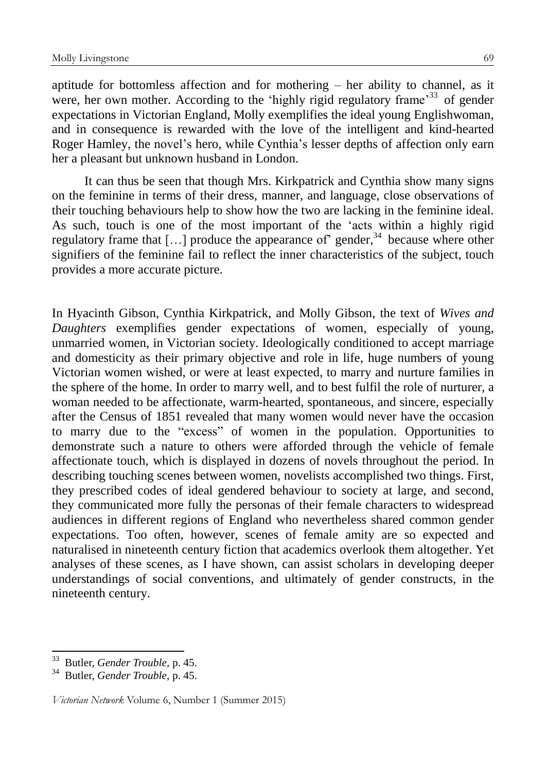aptitude for bottomless affection and for mothering – her ability to channel, as it were, her own mother. According to the 'highly rigid regulatory frame'<sup>33</sup> of gender expectations in Victorian England, Molly exemplifies the ideal young Englishwoman, and in consequence is rewarded with the love of the intelligent and kind-hearted Roger Hamley, the novel's hero, while Cynthia's lesser depths of affection only earn her a pleasant but unknown husband in London.

It can thus be seen that though Mrs. Kirkpatrick and Cynthia show many signs on the feminine in terms of their dress, manner, and language, close observations of their touching behaviours help to show how the two are lacking in the feminine ideal. As such, touch is one of the most important of the 'acts within a highly rigid regulatory frame that  $[\dots]$  produce the appearance of' gender,<sup>34</sup> because where other signifiers of the feminine fail to reflect the inner characteristics of the subject, touch provides a more accurate picture.

In Hyacinth Gibson, Cynthia Kirkpatrick, and Molly Gibson, the text of *Wives and Daughters* exemplifies gender expectations of women, especially of young, unmarried women, in Victorian society. Ideologically conditioned to accept marriage and domesticity as their primary objective and role in life, huge numbers of young Victorian women wished, or were at least expected, to marry and nurture families in the sphere of the home. In order to marry well, and to best fulfil the role of nurturer, a woman needed to be affectionate, warm-hearted, spontaneous, and sincere, especially after the Census of 1851 revealed that many women would never have the occasion to marry due to the "excess" of women in the population. Opportunities to demonstrate such a nature to others were afforded through the vehicle of female affectionate touch, which is displayed in dozens of novels throughout the period. In describing touching scenes between women, novelists accomplished two things. First, they prescribed codes of ideal gendered behaviour to society at large, and second, they communicated more fully the personas of their female characters to widespread audiences in different regions of England who nevertheless shared common gender expectations. Too often, however, scenes of female amity are so expected and naturalised in nineteenth century fiction that academics overlook them altogether. Yet analyses of these scenes, as I have shown, can assist scholars in developing deeper understandings of social conventions, and ultimately of gender constructs, in the nineteenth century.

<sup>33</sup> Butler, *Gender Trouble,* p. 45.

<sup>34</sup> Butler, *Gender Trouble,* p. 45.

*Victorian Network* Volume 6, Number 1 (Summer 2015)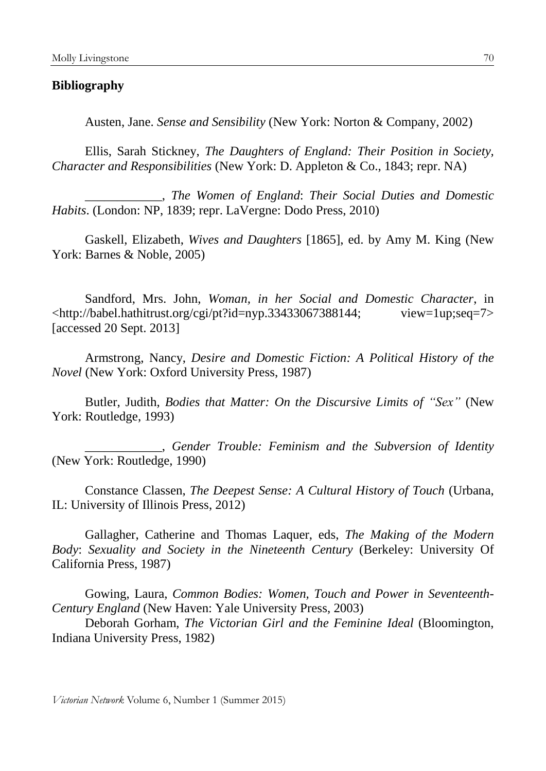## **Bibliography**

Austen, Jane. *Sense and Sensibility* (New York: Norton & Company, 2002)

Ellis, Sarah Stickney, *The Daughters of England: Their Position in Society, Character and Responsibilities* (New York: D. Appleton & Co., 1843; repr. NA)

\_\_\_\_\_\_\_\_\_\_\_\_, *The Women of England*: *Their Social Duties and Domestic Habits*. (London: NP, 1839; repr. LaVergne: Dodo Press, 2010)

Gaskell, Elizabeth, *Wives and Daughters* [1865], ed. by Amy M. King (New York: Barnes & Noble, 2005)

Sandford, Mrs. John, *Woman, in her Social and Domestic Character*, in <http://babel.hathitrust.org/cgi/pt?id=nyp.33433067388144; view=1up;seq=7> [accessed 20 Sept. 2013]

Armstrong, Nancy, *Desire and Domestic Fiction: A Political History of the Novel* (New York: Oxford University Press, 1987)

Butler, Judith, *Bodies that Matter: On the Discursive Limits of "Sex"* (New York: Routledge, 1993)

\_\_\_\_\_\_\_\_\_\_\_\_, *Gender Trouble: Feminism and the Subversion of Identity* (New York: Routledge, 1990)

Constance Classen, *The Deepest Sense: A Cultural History of Touch* (Urbana, IL: University of Illinois Press, 2012)

Gallagher, Catherine and Thomas Laquer, eds, *The Making of the Modern Body*: *Sexuality and Society in the Nineteenth Century* (Berkeley: University Of California Press, 1987)

Gowing, Laura, *Common Bodies: Women, Touch and Power in Seventeenth-Century England* (New Haven: Yale University Press, 2003)

Deborah Gorham, *The Victorian Girl and the Feminine Ideal* (Bloomington, Indiana University Press, 1982)